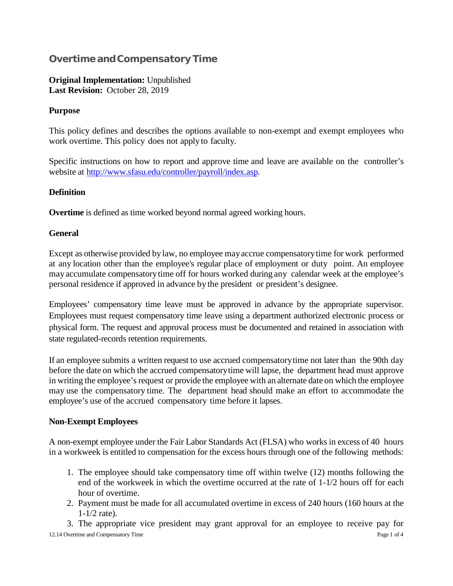# **Overtime and Compensatory Time**

**Original Implementation:** Unpublished **Last Revision:** October 28, 2019

## **Purpose**

This policy defines and describes the options available to non-exempt and exempt employees who work overtime. This policy does not applyto faculty.

Specific instructions on how to report and approve time and leave are available on the controller's website at [http://www.sfasu.edu/controller/payroll/index.asp.](http://www.sfasu.edu/controller/payroll/index.asp)

## **Definition**

**Overtime** is defined as time worked beyond normal agreed working hours.

## **General**

Except as otherwise provided bylaw, no employee mayaccrue compensatorytime for work performed at any location other than the employee's regular place of employment or duty point. An employee may accumulate compensatorytime off for hours worked during any calendar week at the employee's personal residence if approved in advance by the president or president's designee.

Employees' compensatory time leave must be approved in advance by the appropriate supervisor. Employees must request compensatory time leave using a department authorized electronic process or physical form. The request and approval process must be documented and retained in association with state regulated-records retention requirements.

If an employee submits a written request to use accrued compensatorytime not later than the 90th day before the date on which the accrued compensatorytime will lapse, the department head must approve in writing the employee's request or provide the employee with an alternate date on which the employee may use the compensatory time. The department head should make an effort to accommodate the employee's use of the accrued compensatory time before it lapses.

#### **Non-Exempt Employees**

A non-exempt employee under the Fair Labor Standards Act (FLSA) who worksin excess of 40 hours in a workweek is entitled to compensation for the excess hours through one of the following methods:

- 1. The employee should take compensatory time off within twelve (12) months following the end of the workweek in which the overtime occurred at the rate of 1-1/2 hours off for each hour of overtime.
- 2. Payment must be made for all accumulated overtime in excess of 240 hours (160 hours at the 1-1/2 rate).

12.14 Overtime and Compensatory Time Page 1 of 4 3. The appropriate vice president may grant approval for an employee to receive pay for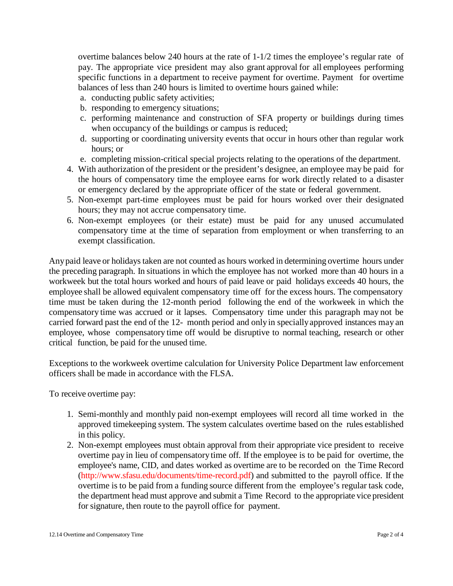overtime balances below 240 hours at the rate of 1-1/2 times the employee's regular rate of pay. The appropriate vice president may also grant approval for all employees performing specific functions in a department to receive payment for overtime. Payment for overtime balances of less than 240 hours is limited to overtime hours gained while:

- a. conducting public safety activities;
- b. responding to emergency situations;
- c. performing maintenance and construction of SFA property or buildings during times when occupancy of the buildings or campus is reduced;
- d. supporting or coordinating university events that occur in hours other than regular work hours; or
- e. completing mission-critical special projects relating to the operations of the department.
- 4. With authorization of the president or the president's designee, an employee may be paid for the hours of compensatory time the employee earns for work directly related to a disaster or emergency declared by the appropriate officer of the state or federal government.
- 5. Non-exempt part-time employees must be paid for hours worked over their designated hours; they may not accrue compensatory time.
- 6. Non-exempt employees (or their estate) must be paid for any unused accumulated compensatory time at the time of separation from employment or when transferring to an exempt classification.

Anypaid leave or holidays taken are not counted as hours worked in determining overtime hours under the preceding paragraph. In situations in which the employee has not worked more than 40 hours in a workweek but the total hours worked and hours of paid leave or paid holidays exceeds 40 hours, the employee shall be allowed equivalent compensatory time off for the excess hours. The compensatory time must be taken during the 12-month period following the end of the workweek in which the compensatory time was accrued or it lapses. Compensatory time under this paragraph may not be carried forward past the end of the 12- month period and onlyin speciallyapproved instances may an employee, whose compensatory time off would be disruptive to normal teaching, research or other critical function, be paid for the unused time.

Exceptions to the workweek overtime calculation for University Police Department law enforcement officers shall be made in accordance with the FLSA.

To receive overtime pay:

- 1. Semi-monthly and monthly paid non-exempt employees will record all time worked in the approved timekeeping system. The system calculates overtime based on the rules established in this policy.
- 2. Non-exempt employees must obtain approval from their appropriate vice president to receive overtime pay in lieu of compensatorytime off. If the employee is to be paid for overtime, the employee's name, CID, and dates worked as overtime are to be recorded on the Time Record [\(http://www.sfasu.edu/documents/time-record.pdf\)](http://www.sfasu.edu/documents/time-record.pdf) and submitted to the payroll office. If the overtime is to be paid from a funding source different from the employee's regular task code, the department head must approve and submit a Time Record to the appropriate vice president for signature, then route to the payroll office for payment.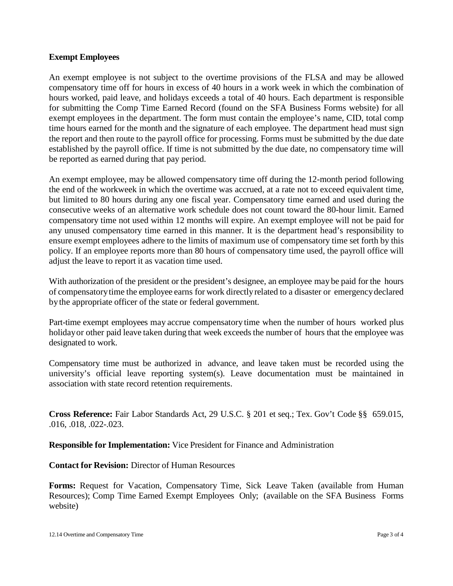#### **Exempt Employees**

An exempt employee is not subject to the overtime provisions of the FLSA and may be allowed compensatory time off for hours in excess of 40 hours in a work week in which the combination of hours worked, paid leave, and holidays exceeds a total of 40 hours. Each department is responsible for submitting the Comp Time Earned Record (found on the SFA Business Forms website) for all exempt employees in the department. The form must contain the employee's name, CID, total comp time hours earned for the month and the signature of each employee. The department head must sign the report and then route to the payroll office for processing. Forms must be submitted by the due date established by the payroll office. If time is not submitted by the due date, no compensatory time will be reported as earned during that pay period.

An exempt employee, may be allowed compensatory time off during the 12-month period following the end of the workweek in which the overtime was accrued, at a rate not to exceed equivalent time, but limited to 80 hours during any one fiscal year. Compensatory time earned and used during the consecutive weeks of an alternative work schedule does not count toward the 80-hour limit. Earned compensatory time not used within 12 months will expire. An exempt employee will not be paid for any unused compensatory time earned in this manner. It is the department head's responsibility to ensure exempt employees adhere to the limits of maximum use of compensatory time set forth by this policy. If an employee reports more than 80 hours of compensatory time used, the payroll office will adjust the leave to report it as vacation time used.

With authorization of the president or the president's designee, an employee may be paid for the hours of compensatorytime the employee earns for work directlyrelated to a disaster or emergencydeclared bythe appropriate officer of the state or federal government.

Part-time exempt employees may accrue compensatory time when the number of hours worked plus holidayor other paid leave taken during that week exceeds the number of hours that the employee was designated to work.

Compensatory time must be authorized in advance, and leave taken must be recorded using the university's official leave reporting system(s). Leave documentation must be maintained in association with state record retention requirements.

**Cross Reference:** Fair Labor Standards Act, 29 U.S.C. § 201 et seq.; Tex. Gov't Code §§ 659.015, .016, .018, .022-.023.

**Responsible for Implementation:** Vice President for Finance and Administration

**Contact for Revision:** Director of Human Resources

**Forms:** Request for Vacation, Compensatory Time, Sick Leave Taken (available from Human Resources); Comp Time Earned Exempt Employees Only; (available on the SFA Business Forms website)